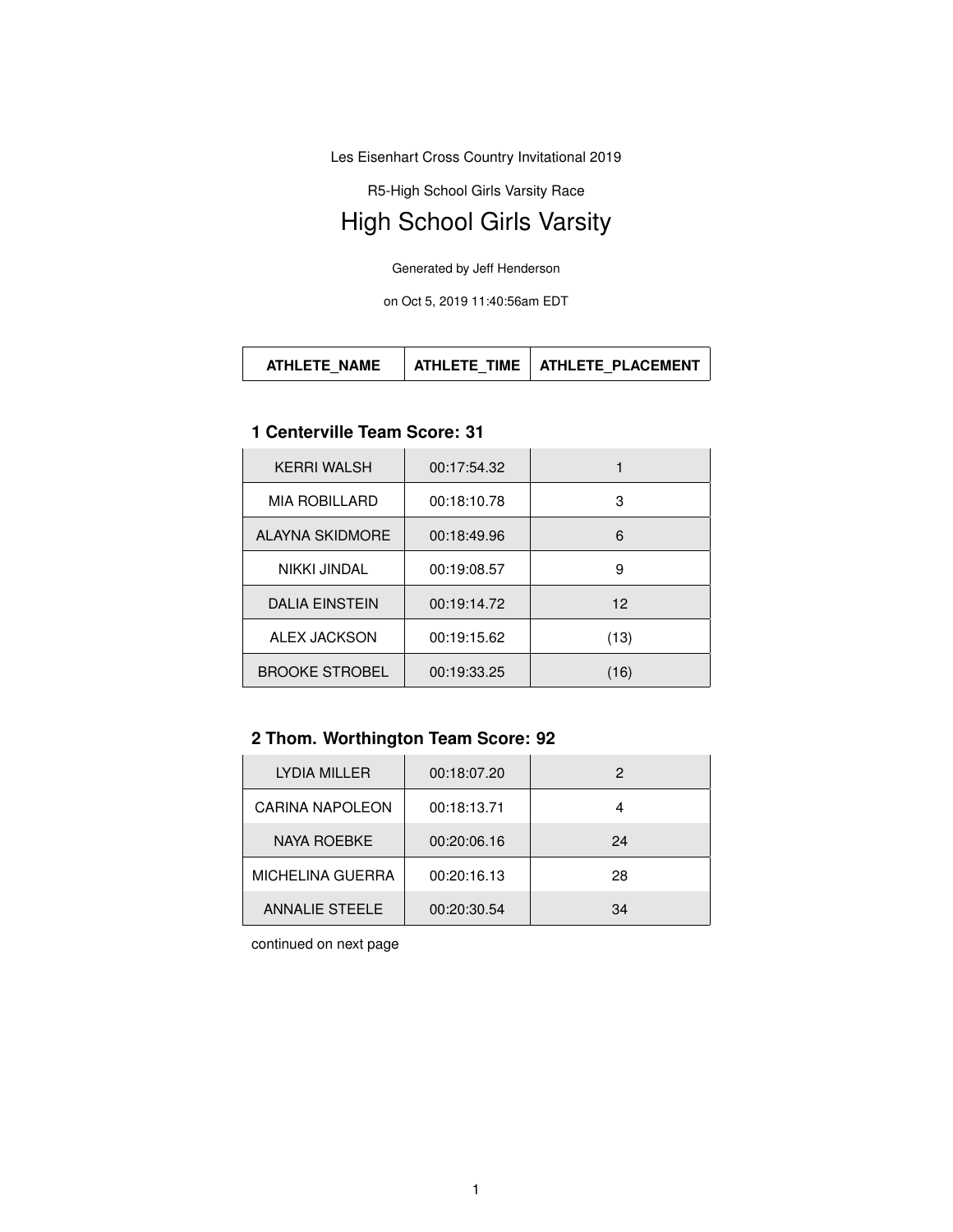Les Eisenhart Cross Country Invitational 2019

R5-High School Girls Varsity Race

# High School Girls Varsity

Generated by Jeff Henderson

on Oct 5, 2019 11:40:56am EDT

#### **1 Centerville Team Score: 31**

| <b>KERRI WALSH</b>    | 00:17:54.32 |      |
|-----------------------|-------------|------|
| <b>MIA ROBILLARD</b>  | 00:18:10.78 | 3    |
| ALAYNA SKIDMORE       | 00:18:49.96 | 6    |
| NIKKI JINDAL          | 00:19:08.57 | 9    |
| <b>DALIA EINSTEIN</b> | 00:19:14.72 | 12   |
| <b>ALEX JACKSON</b>   | 00:19:15.62 | (13) |
| <b>BROOKE STROBEL</b> | 00:19:33.25 | (16) |

# **2 Thom. Worthington Team Score: 92**

| LYDIA MILLER            | 00:18:07.20 | 2  |
|-------------------------|-------------|----|
| <b>CARINA NAPOLEON</b>  | 00:18:13.71 |    |
| NAYA ROEBKE             | 00:20:06.16 | 24 |
| <b>MICHELINA GUERRA</b> | 00:20:16.13 | 28 |
| <b>ANNALIE STEELE</b>   | 00:20:30.54 | 34 |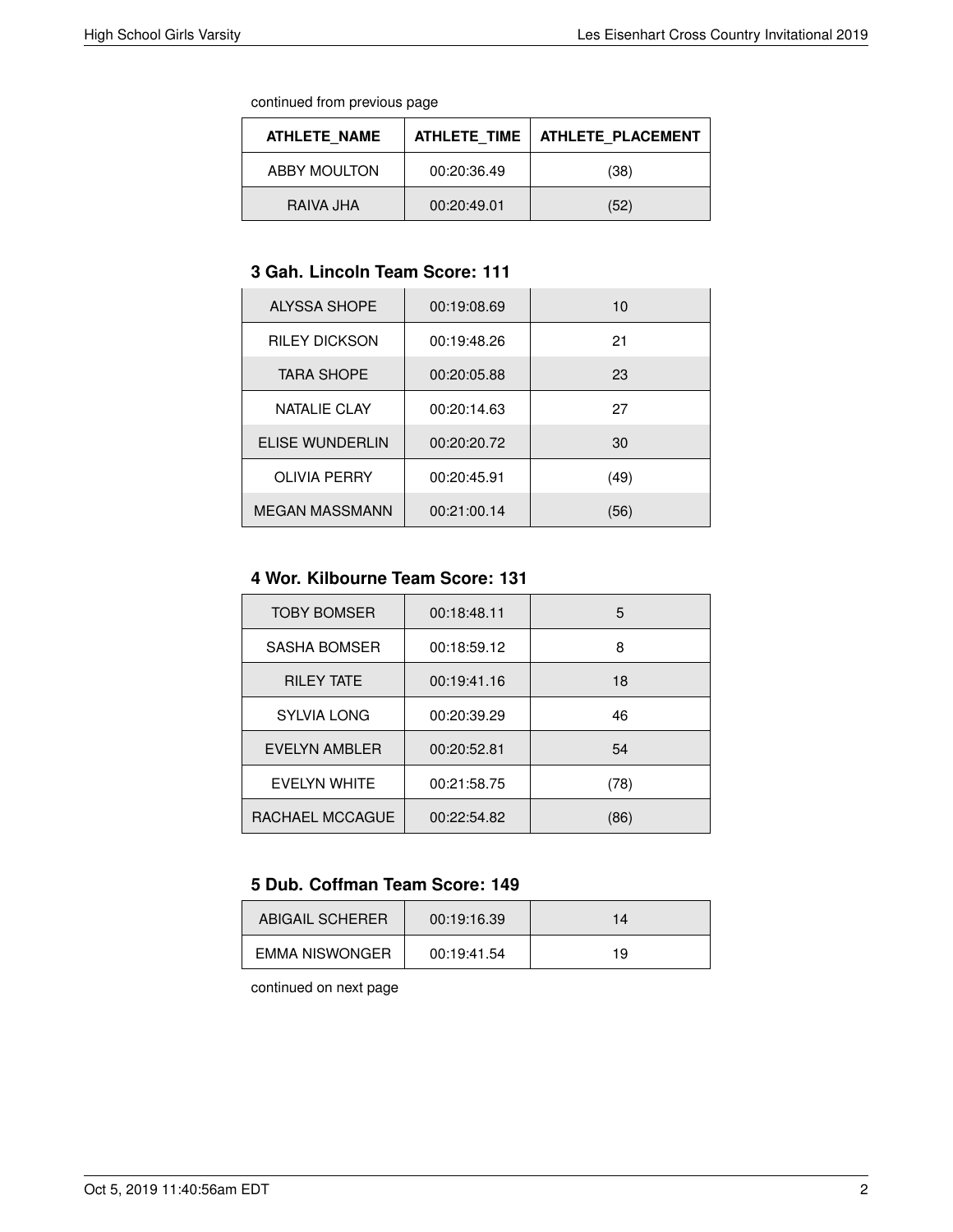continued from previous page

| ATHLETE NAME | ATHLETE TIME | ATHLETE PLACEMENT |
|--------------|--------------|-------------------|
| ABBY MOULTON | 00:20:36.49  | (38)              |
| RAIVA JHA    | 00:20:49.01  | (52)              |

### **3 Gah. Lincoln Team Score: 111**

| <b>ALYSSA SHOPE</b>   | 00:19:08.69 | 10   |
|-----------------------|-------------|------|
| <b>RILEY DICKSON</b>  | 00:19:48.26 | 21   |
| <b>TARA SHOPE</b>     | 00:20:05.88 | 23   |
| NATALIE CLAY          | 00:20:14.63 | 27   |
| ELISE WUNDERLIN       | 00:20:20.72 | 30   |
| <b>OLIVIA PERRY</b>   | 00:20:45.91 | (49) |
| <b>MEGAN MASSMANN</b> | 00:21:00.14 | (56) |

## **4 Wor. Kilbourne Team Score: 131**

| <b>TOBY BOMSER</b>  | 00:18:48.11 | 5    |
|---------------------|-------------|------|
| SASHA BOMSER        | 00:18:59.12 | 8    |
| <b>RILEY TATE</b>   | 00:19:41.16 | 18   |
| <b>SYLVIA LONG</b>  | 00:20:39.29 | 46   |
| EVELYN AMBLER       | 00:20:52.81 | 54   |
| <b>FVFIYN WHITE</b> | 00:21:58.75 | (78) |
| RACHAEL MCCAGUE     | 00:22:54.82 | (86) |

#### **5 Dub. Coffman Team Score: 149**

| ABIGAIL SCHERER | 00:19:16.39 | 14 |
|-----------------|-------------|----|
| EMMA NISWONGER  | 00:19:41.54 | 19 |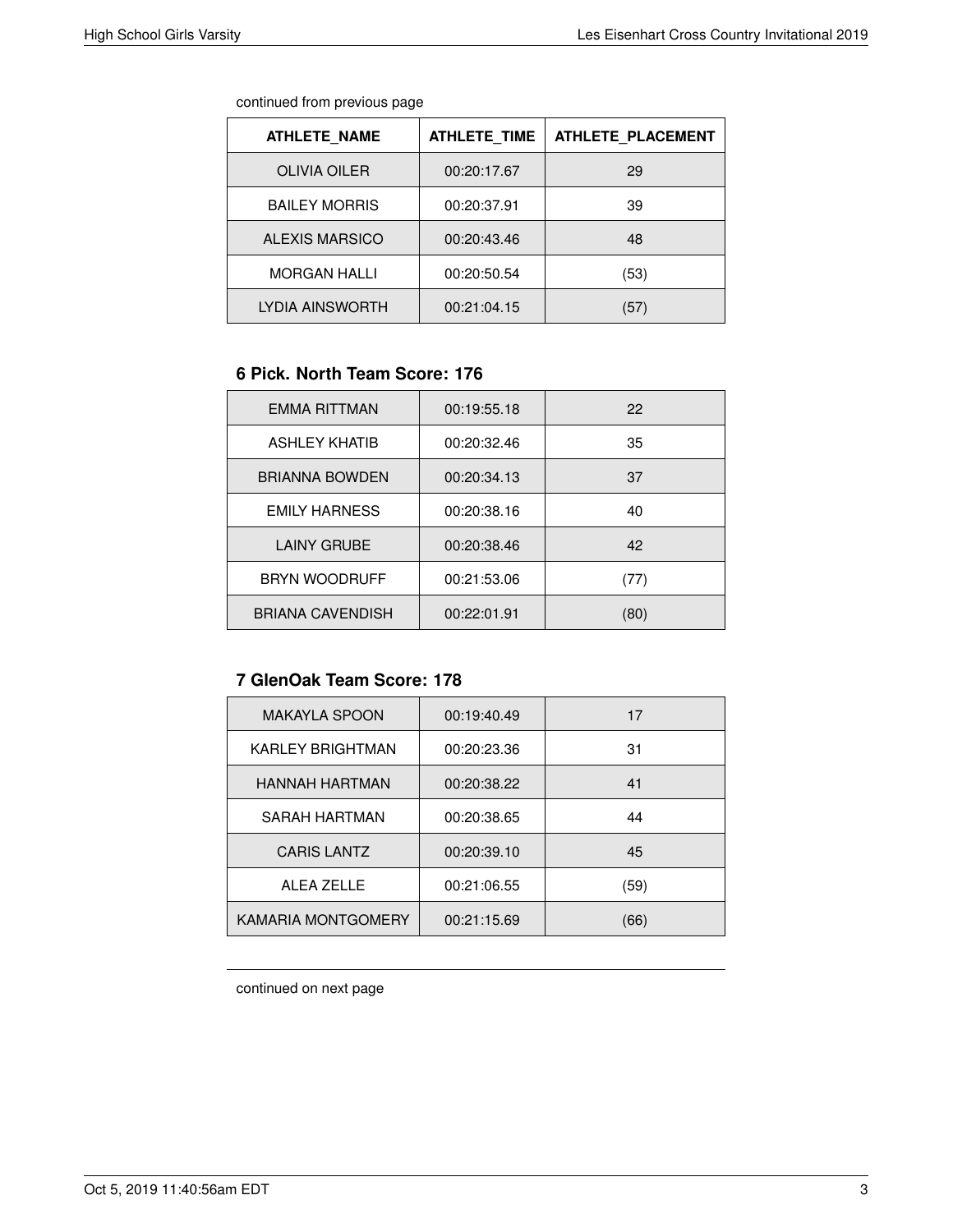continued from previous page

| <b>ATHLETE NAME</b>   | <b>ATHLETE TIME</b> | <b>ATHLETE PLACEMENT</b> |
|-----------------------|---------------------|--------------------------|
| <b>OLIVIA OILER</b>   | 00:20:17.67         | 29                       |
| <b>BAILEY MORRIS</b>  | 00:20:37.91         | 39                       |
| <b>ALEXIS MARSICO</b> | 00:20:43.46         | 48                       |
| <b>MORGAN HALLI</b>   | 00:20:50.54         | (53)                     |
| LYDIA AINSWORTH       | 00:21:04.15         | '57'                     |

#### **6 Pick. North Team Score: 176**

| EMMA RITTMAN            | 00:19:55.18 | 22   |
|-------------------------|-------------|------|
| <b>ASHLEY KHATIB</b>    | 00:20:32.46 | 35   |
| <b>BRIANNA BOWDEN</b>   | 00:20:34.13 | 37   |
| <b>EMILY HARNESS</b>    | 00:20:38.16 | 40   |
| <b>LAINY GRUBE</b>      | 00:20:38.46 | 42   |
| <b>BRYN WOODRUFF</b>    | 00:21:53.06 | (77) |
| <b>BRIANA CAVENDISH</b> | 00:22:01.91 | (80) |

# **7 GlenOak Team Score: 178**

| <b>MAKAYLA SPOON</b> | 00:19:40.49 | 17   |
|----------------------|-------------|------|
| KARLEY BRIGHTMAN     | 00:20:23.36 | 31   |
| HANNAH HARTMAN       | 00:20:38.22 | 41   |
| SARAH HARTMAN        | 00:20:38.65 | 44   |
| <b>CARIS LANTZ</b>   | 00:20:39.10 | 45   |
| <b>ALEA ZELLE</b>    | 00:21:06.55 | (59) |
| KAMARIA MONTGOMERY   | 00:21:15.69 | (66) |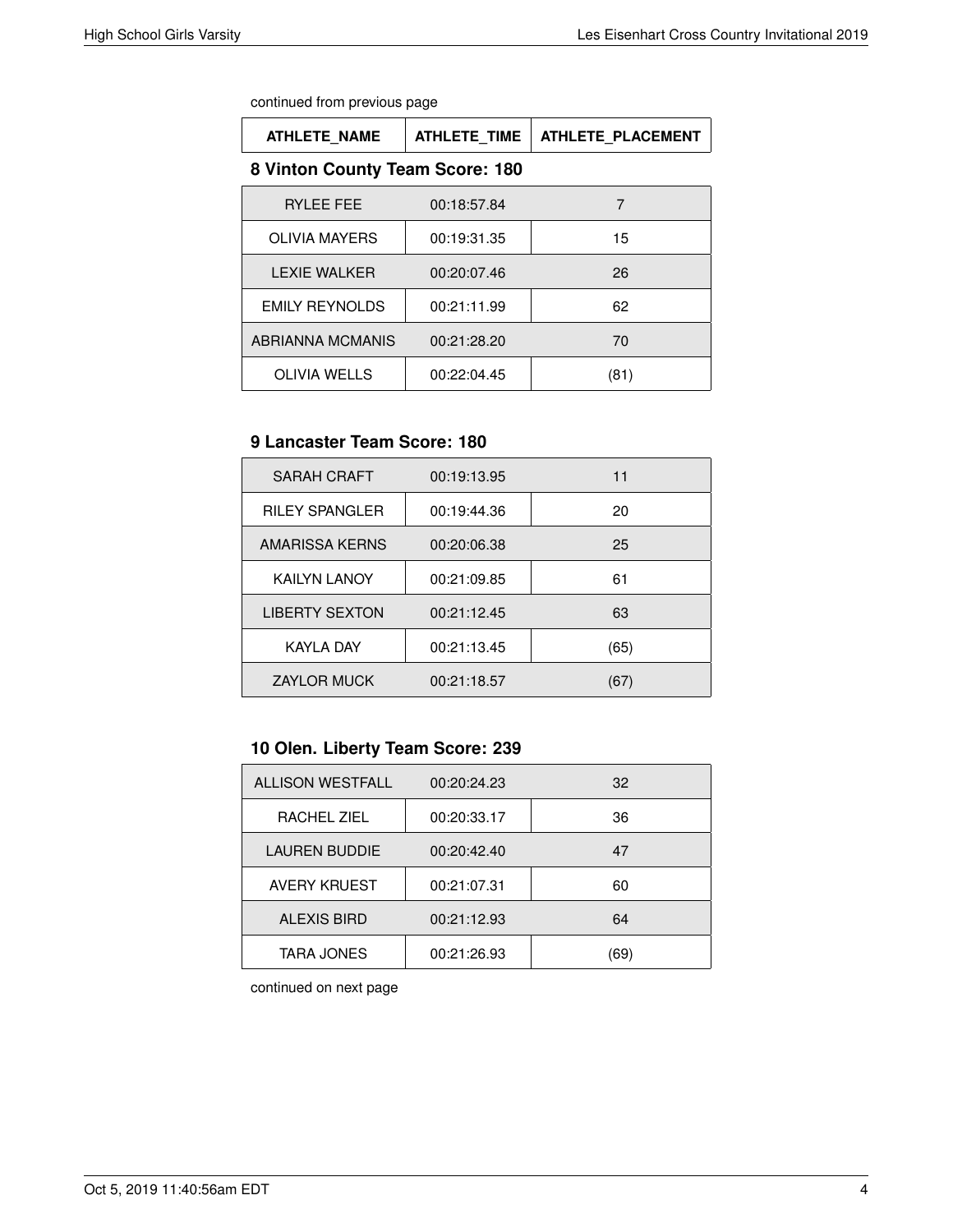continued from previous page

| <b>ATHLETE NAME</b>   | <b>ATHLETE TIME</b>             | <b>ATHLETE PLACEMENT</b> |  |
|-----------------------|---------------------------------|--------------------------|--|
|                       | 8 Vinton County Team Score: 180 |                          |  |
| RYLEE FEE             | 00:18:57.84                     | 7                        |  |
| <b>OLIVIA MAYERS</b>  | 00:19:31.35                     | 15                       |  |
| <b>LEXIE WALKER</b>   | 00:20:07.46                     | 26                       |  |
| <b>EMILY REYNOLDS</b> | 00:21:11.99                     | 62                       |  |
| ABRIANNA MCMANIS      | 00:21:28.20                     | 70                       |  |
| <b>OLIVIA WELLS</b>   | 00:22:04.45                     | (81)                     |  |

# **9 Lancaster Team Score: 180**

| <b>SARAH CRAFT</b>    | 00:19:13.95 | 11   |
|-----------------------|-------------|------|
| <b>RILEY SPANGLER</b> | 00:19:44.36 | 20   |
| AMARISSA KERNS        | 00:20:06.38 | 25   |
| <b>KAILYN LANOY</b>   | 00:21:09.85 | 61   |
| <b>LIBERTY SEXTON</b> | 00:21:12.45 | 63   |
| <b>KAYLA DAY</b>      | 00:21:13.45 | (65) |
| <b>ZAYLOR MUCK</b>    | 00:21:18.57 | (67) |

# **10 Olen. Liberty Team Score: 239**

| <b>ALLISON WESTFALL</b> | 00:20:24.23 | 32  |
|-------------------------|-------------|-----|
| RACHEL ZIEL             | 00:20:33.17 | 36  |
| <b>LAUREN BUDDIE</b>    | 00:20:42.40 | 47  |
| <b>AVERY KRUEST</b>     | 00:21:07.31 | 60  |
| <b>ALEXIS BIRD</b>      | 00:21:12.93 | 64  |
| <b>TARA JONES</b>       | 00:21:26.93 | 69' |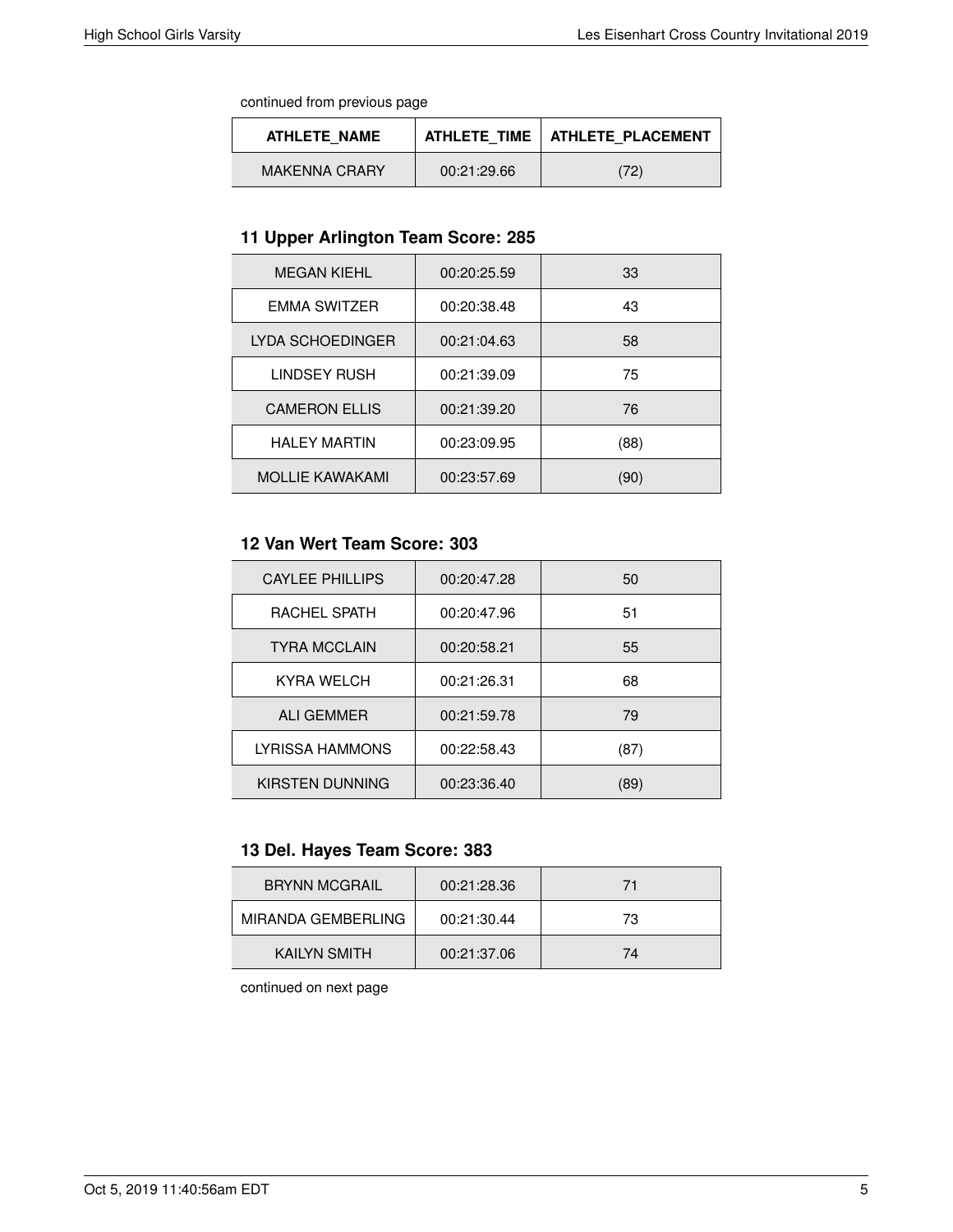continued from previous page

| ATHLETE NAME         |             | ATHLETE TIME   ATHLETE PLACEMENT |
|----------------------|-------------|----------------------------------|
| <b>MAKENNA CRARY</b> | 00:21:29.66 | (72)                             |

## **11 Upper Arlington Team Score: 285**

| <b>MEGAN KIEHL</b>     | 00:20:25.59 | 33   |
|------------------------|-------------|------|
| <b>EMMA SWITZER</b>    | 00:20:38.48 | 43   |
| LYDA SCHOEDINGER       | 00:21:04.63 | 58   |
| <b>LINDSEY RUSH</b>    | 00:21:39.09 | 75   |
| <b>CAMERON ELLIS</b>   | 00:21:39.20 | 76   |
| <b>HALEY MARTIN</b>    | 00:23:09.95 | (88) |
| <b>MOLLIE KAWAKAMI</b> | 00:23:57.69 | (90) |

# **12 Van Wert Team Score: 303**

| 00:20:47.28 | 50   |
|-------------|------|
| 00:20:47.96 | 51   |
| 00:20:58.21 | 55   |
| 00:21:26.31 | 68   |
| 00:21:59.78 | 79   |
| 00:22:58.43 | (87) |
| 00:23:36.40 | (89) |
|             |      |

# **13 Del. Hayes Team Score: 383**

| <b>BRYNN MCGRAIL</b> | 00:21:28.36 | 71 |
|----------------------|-------------|----|
| MIRANDA GEMBERLING   | 00:21:30.44 | 73 |
| <b>KAILYN SMITH</b>  | 00:21:37.06 | 74 |